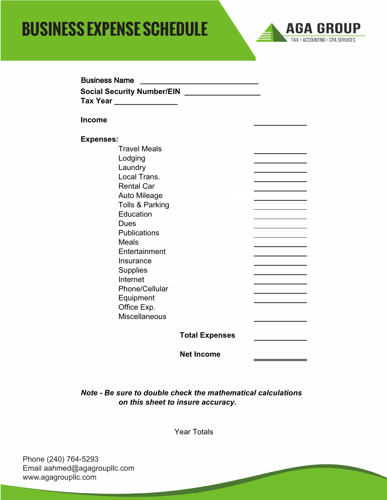## **SEVERIGE CALL Tax Year \_\_\_\_\_\_\_\_\_\_\_\_\_\_\_ BUSINESS EXPENSE SCHEDULE**



| <b>Business Name</b>                                                                     |                       |  |
|------------------------------------------------------------------------------------------|-----------------------|--|
| Social Security Number/EIN _________________<br><b>Tax Year Allows</b> Tax New York 1997 |                       |  |
| <b>Income</b>                                                                            |                       |  |
| <b>Expenses:</b>                                                                         |                       |  |
| <b>Travel Meals</b>                                                                      |                       |  |
| Lodging                                                                                  |                       |  |
| Laundry                                                                                  |                       |  |
| Local Trans.                                                                             |                       |  |
| <b>Rental Car</b>                                                                        |                       |  |
| Auto Mileage                                                                             |                       |  |
| Tolls & Parking                                                                          |                       |  |
| Education                                                                                |                       |  |
| Dues                                                                                     |                       |  |
| <b>Publications</b>                                                                      |                       |  |
| <b>Meals</b>                                                                             |                       |  |
| Entertainment                                                                            |                       |  |
| Insurance                                                                                |                       |  |
| <b>Supplies</b><br>Internet                                                              |                       |  |
| Phone/Cellular                                                                           |                       |  |
| Equipment                                                                                |                       |  |
| Office Exp.                                                                              |                       |  |
| Miscellaneous                                                                            |                       |  |
|                                                                                          | <b>Total Expenses</b> |  |
|                                                                                          | <b>Net Income</b>     |  |

*Note - Be sure to double check the mathematical calculations on this sheet to insure accuracy.*

Year Totals

Phone (240) 764-5293 Email aahmed@agagroupllc.com www.agagroupllc.com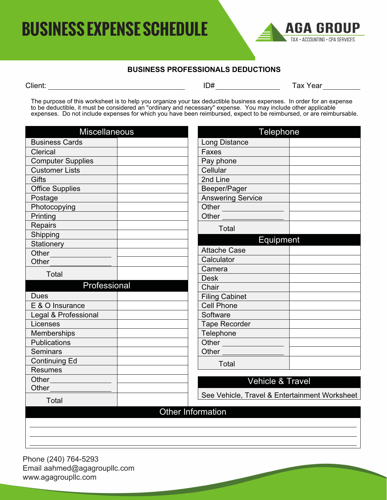

## **BUSINESS PROFESSIONALS DEDUCTIONS**

| x |
|---|
|   |

Client: ID# Tax Year

The purpose of this worksheet is to help you organize your tax deductible business expenses. In order for an expense to be deductible, it must be considered an ''ordinary and necessary'' expense. You may include other applicable expenses. Do not include expenses for which you have been reimbursed, expect to be reimbursed, or are reimbursable.

| <b>Miscellaneous</b>     |                          | Telephone                                     |  |
|--------------------------|--------------------------|-----------------------------------------------|--|
| <b>Business Cards</b>    |                          | Long Distance                                 |  |
| Clerical                 |                          | Faxes                                         |  |
| <b>Computer Supplies</b> |                          | Pay phone                                     |  |
| <b>Customer Lists</b>    |                          | Cellular                                      |  |
| <b>Gifts</b>             |                          | 2nd Line                                      |  |
| <b>Office Supplies</b>   |                          | Beeper/Pager                                  |  |
| Postage                  |                          | <b>Answering Service</b>                      |  |
| Photocopying             |                          | Other                                         |  |
| Printing                 |                          | Other                                         |  |
| Repairs                  |                          | Total                                         |  |
| Shipping                 |                          |                                               |  |
| Stationery               |                          | Equipment                                     |  |
| Other                    |                          | <b>Attache Case</b>                           |  |
| Other                    |                          | Calculator                                    |  |
| Total                    |                          | Camera                                        |  |
| Professional             |                          | <b>Desk</b>                                   |  |
|                          |                          | Chair                                         |  |
| <b>Dues</b>              |                          | <b>Filing Cabinet</b>                         |  |
| E & O Insurance          |                          | <b>Cell Phone</b>                             |  |
| Legal & Professional     |                          | Software                                      |  |
| Licenses                 |                          | <b>Tape Recorder</b>                          |  |
| Memberships              |                          | Telephone                                     |  |
| Publications             |                          | Other                                         |  |
| <b>Seminars</b>          |                          | Other <sub>_________</sub>                    |  |
| <b>Continuing Ed</b>     |                          | Total                                         |  |
| <b>Resumes</b>           |                          |                                               |  |
| Other___________         |                          | Vehicle & Travel                              |  |
| Other                    |                          | See Vehicle, Travel & Entertainment Worksheet |  |
| Total                    |                          |                                               |  |
|                          | <b>Other Information</b> |                                               |  |
|                          |                          |                                               |  |
|                          |                          |                                               |  |
|                          |                          |                                               |  |
|                          |                          |                                               |  |

Phone (240) 764-5293 Email aahmed@agagroupllc.com www.agagroupllc.com